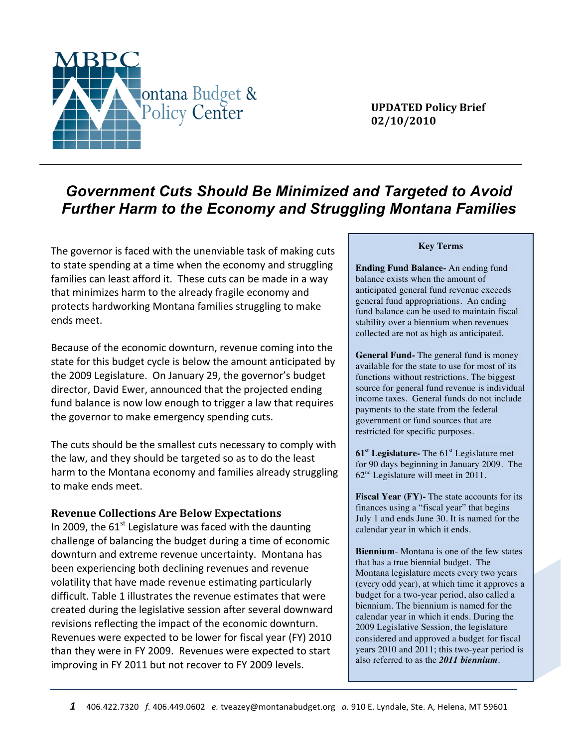

**UPDATED!Policy!Brief 02/10/2010**

# *Government Cuts Should Be Minimized and Targeted to Avoid Further Harm to the Economy and Struggling Montana Families*

The governor is faced with the unenviable task of making cuts to state spending at a time when the economy and struggling families can least afford it. These cuts can be made in a way that minimizes harm to the already fragile economy and protects hardworking Montana families struggling to make ends meet.

Because of the economic downturn, revenue coming into the state for this budget cycle is below the amount anticipated by the 2009 Legislature. On January 29, the governor's budget director, David Ewer, announced that the projected ending fund balance is now low enough to trigger a law that requires the governor to make emergency spending cuts.

The cuts should be the smallest cuts necessary to comply with the law, and they should be targeted so as to do the least harm to the Montana economy and families already struggling to make ends meet.

#### **Revenue Collections Are Below Expectations**

In 2009, the  $61<sup>st</sup>$  Legislature was faced with the daunting challenge of balancing the budget during a time of economic downturn and extreme revenue uncertainty. Montana has been experiencing both declining revenues and revenue volatility that have made revenue estimating particularly difficult. Table 1 illustrates the revenue estimates that were created during the legislative session after several downward revisions reflecting the impact of the economic downturn. Revenues were expected to be lower for fiscal year (FY) 2010 than they were in FY 2009. Revenues were expected to start improving in FY 2011 but not recover to FY 2009 levels.

#### **Key Terms**

**Ending Fund Balance-** An ending fund balance exists when the amount of anticipated general fund revenue exceeds general fund appropriations. An ending fund balance can be used to maintain fiscal stability over a biennium when revenues collected are not as high as anticipated.

**General Fund-** The general fund is money available for the state to use for most of its functions without restrictions. The biggest source for general fund revenue is individual income taxes. General funds do not include payments to the state from the federal government or fund sources that are restricted for specific purposes.

**61st Legislature-** The 61st Legislature met for 90 days beginning in January 2009. The 62nd Legislature will meet in 2011.

**Fiscal Year (FY)-** The state accounts for its finances using a "fiscal year" that begins July 1 and ends June 30. It is named for the calendar year in which it ends.

**Biennium**- Montana is one of the few states that has a true biennial budget. The Montana legislature meets every two years (every odd year), at which time it approves a budget for a two-year period, also called a biennium. The biennium is named for the calendar year in which it ends. During the 2009 Legislative Session, the legislature considered and approved a budget for fiscal years 2010 and 2011; this two-year period is also referred to as the *2011 biennium*.

**House Joint Resolution 2 (HJR 2)** – HJR2 is a resolution that details the revenue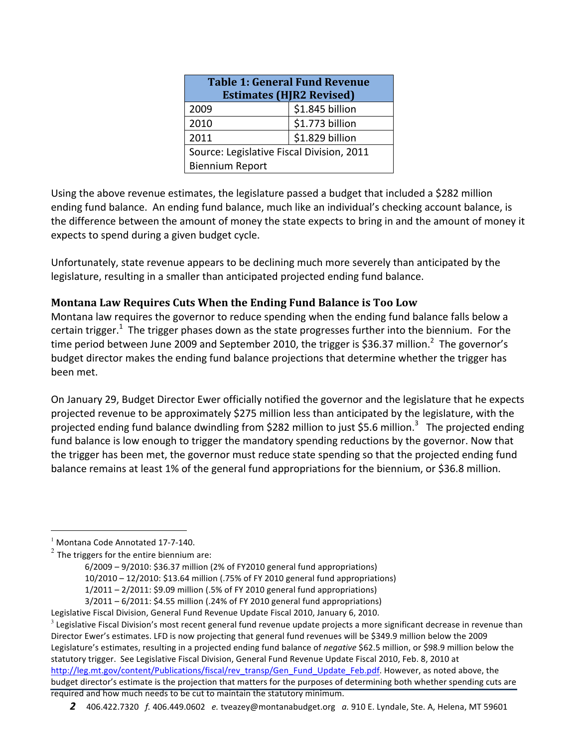| <b>Table 1: General Fund Revenue</b><br><b>Estimates (HJR2 Revised)</b> |                 |  |  |  |
|-------------------------------------------------------------------------|-----------------|--|--|--|
| 2009                                                                    | \$1.845 billion |  |  |  |
| 2010                                                                    | \$1.773 billion |  |  |  |
| 2011                                                                    | \$1.829 billion |  |  |  |
| Source: Legislative Fiscal Division, 2011                               |                 |  |  |  |
| <b>Biennium Report</b>                                                  |                 |  |  |  |

Using the above revenue estimates, the legislature passed a budget that included a \$282 million ending fund balance. An ending fund balance, much like an individual's checking account balance, is the difference between the amount of money the state expects to bring in and the amount of money it expects to spend during a given budget cycle.

Unfortunately, state revenue appears to be declining much more severely than anticipated by the legislature, resulting in a smaller than anticipated projected ending fund balance.

### **Montana Law Requires Cuts When the Ending Fund Balance is Too Low**

Montana law requires the governor to reduce spending when the ending fund balance falls below a certain trigger.<sup>1</sup> The trigger phases down as the state progresses further into the biennium. For the time period between June 2009 and September 2010, the trigger is \$36.37 million.<sup>2</sup> The governor's budget director makes the ending fund balance projections that determine whether the trigger has been met.

On January 29, Budget Director Ewer officially notified the governor and the legislature that he expects projected revenue to be approximately \$275 million less than anticipated by the legislature, with the projected ending fund balance dwindling from \$282 million to just \$5.6 million.<sup>3</sup> The projected ending fund balance is low enough to trigger the mandatory spending reductions by the governor. Now that the trigger has been met, the governor must reduce state spending so that the projected ending fund balance remains at least 1% of the general fund appropriations for the biennium, or \$36.8 million.

Legislative Fiscal Division, General Fund Revenue Update Fiscal 2010, January 6, 2010.  $3$  Legislative Fiscal Division's most recent general fund revenue update projects a more significant decrease in revenue than Director Ewer's estimates. LFD is now projecting that general fund revenues will be \$349.9 million below the 2009 Legislature's estimates, resulting in a projected ending fund balance of *negative* \$62.5 million, or \$98.9 million below the statutory trigger. See Legislative Fiscal Division, General Fund Revenue Update Fiscal 2010, Feb. 8, 2010 at http://leg.mt.gov/content/Publications/fiscal/rev\_transp/Gen\_Fund\_Update\_Feb.pdf. However, as noted above, the budget director's estimate is the projection that matters for the purposes of determining both whether spending cuts are required and how much needs to be cut to maintain the statutory minimum.

#### 2 406.422.7320 f. 406.449.0602 e. tveazey@montanabudget.org a. 910 E. Lyndale, Ste. A, Helena, MT 59601

 $<sup>1</sup>$  Montana Code Annotated 17-7-140.</sup>

 $2$  The triggers for the entire biennium are:

 $6/2009 - 9/2010$ : \$36.37 million (2% of FY2010 general fund appropriations) 10/2010 - 12/2010: \$13.64 million (.75% of FY 2010 general fund appropriations)  $1/2011 - 2/2011$ : \$9.09 million (.5% of FY 2010 general fund appropriations)

 $3/2011-6/2011$ : \$4.55 million (.24% of FY 2010 general fund appropriations)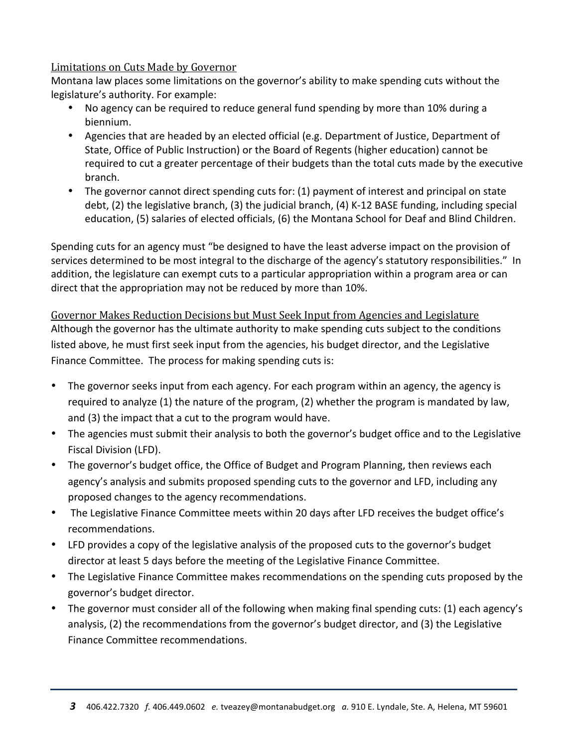#### Limitations on Cuts Made by Governor

Montana law places some limitations on the governor's ability to make spending cuts without the legislature's authority. For example:

- No agency can be required to reduce general fund spending by more than 10% during a biennium.
- Agencies that are headed by an elected official (e.g. Department of Justice, Department of State, Office of Public Instruction) or the Board of Regents (higher education) cannot be required to cut a greater percentage of their budgets than the total cuts made by the executive branch.
- The governor cannot direct spending cuts for: (1) payment of interest and principal on state debt, (2) the legislative branch, (3) the judicial branch, (4) K-12 BASE funding, including special education, (5) salaries of elected officials, (6) the Montana School for Deaf and Blind Children.

Spending cuts for an agency must "be designed to have the least adverse impact on the provision of services determined to be most integral to the discharge of the agency's statutory responsibilities." In addition, the legislature can exempt cuts to a particular appropriation within a program area or can direct that the appropriation may not be reduced by more than 10%.

Governor Makes Reduction Decisions but Must Seek Input from Agencies and Legislature Although the governor has the ultimate authority to make spending cuts subject to the conditions listed above, he must first seek input from the agencies, his budget director, and the Legislative Finance Committee. The process for making spending cuts is:

- The governor seeks input from each agency. For each program within an agency, the agency is required to analyze (1) the nature of the program, (2) whether the program is mandated by law, and (3) the impact that a cut to the program would have.
- The agencies must submit their analysis to both the governor's budget office and to the Legislative Fiscal Division (LFD).
- The governor's budget office, the Office of Budget and Program Planning, then reviews each agency's analysis and submits proposed spending cuts to the governor and LFD, including any proposed changes to the agency recommendations.
- The Legislative Finance Committee meets within 20 days after LFD receives the budget office's recommendations.
- LFD provides a copy of the legislative analysis of the proposed cuts to the governor's budget director at least 5 days before the meeting of the Legislative Finance Committee.
- The Legislative Finance Committee makes recommendations on the spending cuts proposed by the governor's budget director.
- The governor must consider all of the following when making final spending cuts: (1) each agency's analysis, (2) the recommendations from the governor's budget director, and (3) the Legislative Finance Committee recommendations.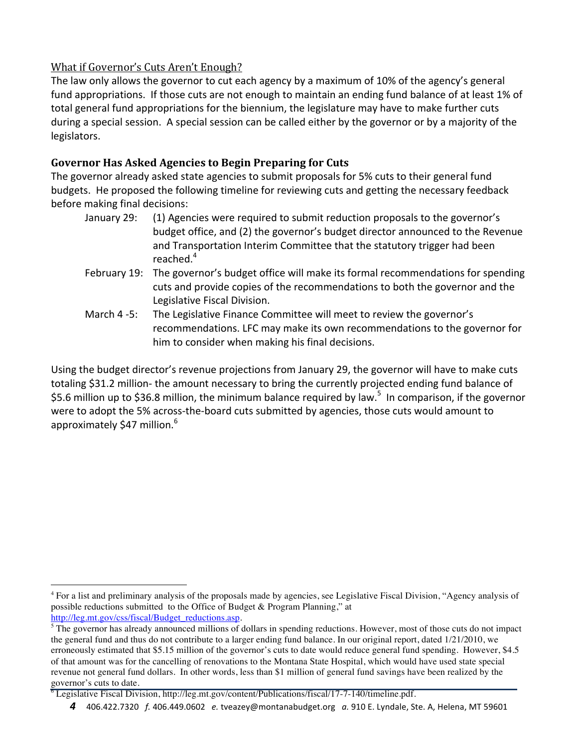# What if Governor's Cuts Aren't Enough?

The law only allows the governor to cut each agency by a maximum of 10% of the agency's general fund appropriations. If those cuts are not enough to maintain an ending fund balance of at least 1% of total general fund appropriations for the biennium, the legislature may have to make further cuts during a special session. A special session can be called either by the governor or by a majority of the legislators.

# Governor Has Asked Agencies to Begin Preparing for Cuts

The governor already asked state agencies to submit proposals for 5% cuts to their general fund budgets. He proposed the following timeline for reviewing cuts and getting the necessary feedback before making final decisions:

- January 29: (1) Agencies were required to submit reduction proposals to the governor's budget office, and (2) the governor's budget director announced to the Revenue and Transportation Interim Committee that the statutory trigger had been reached. 4
- February 19: The governor's budget office will make its formal recommendations for spending cuts and provide copies of the recommendations to both the governor and the Legislative Fiscal Division.
- March 4-5: The Legislative Finance Committee will meet to review the governor's recommendations. LFC may make its own recommendations to the governor for him to consider when making his final decisions.

Using the budget director's revenue projections from January 29, the governor will have to make cuts totaling \$31.2 million-the amount necessary to bring the currently projected ending fund balance of \$5.6 million up to \$36.8 million, the minimum balance required by law.<sup>5</sup> In comparison, if the governor were to adopt the 5% across-the-board cuts submitted by agencies, those cuts would amount to approximately \$47 million. $6<sup>6</sup>$ 

 $\frac{1}{4}$  For a list and preliminary analysis of the proposals made by agencies, see Legislative Fiscal Division, "Agency analysis of possible reductions submitted to the Office of Budget & Program Planning," at http://leg.mt.gov/css/fiscal/Budget\_reductions.asp.

<sup>&</sup>lt;sup>5</sup> The governor has already announced millions of dollars in spending reductions. However, most of those cuts do not impact the general fund and thus do not contribute to a larger ending fund balance. In our original report, dated 1/21/2010, we erroneously estimated that \$5.15 million of the governor's cuts to date would reduce general fund spending. However, \$4.5 of that amount was for the cancelling of renovations to the Montana State Hospital, which would have used state special revenue not general fund dollars. In other words, less than \$1 million of general fund savings have been realized by the governor's cuts to date. 6 Legislative Fiscal Division, http://leg.mt.gov/content/Publications/fiscal/17-7-140/timeline.pdf.

<sup>4 406.422.7320</sup> f. 406.449.0602 e. tveazey@montanabudget.org a. 910 E. Lyndale, Ste. A, Helena, MT 59601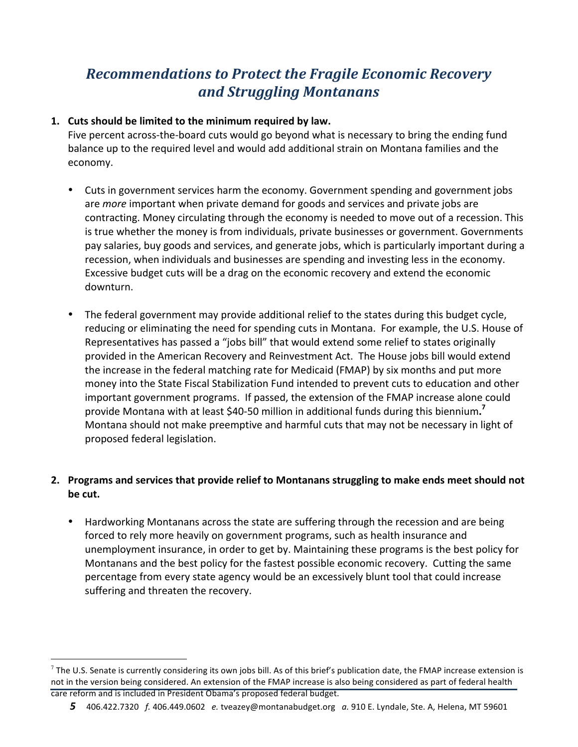# **Recommendations to Protect the Fragile Economic Recovery** *and!Struggling!Montanans*

### 1. Cuts should be limited to the minimum required by law.

Five percent across-the-board cuts would go beyond what is necessary to bring the ending fund balance up to the required level and would add additional strain on Montana families and the economy.

- Cuts in government services harm the economy. Government spending and government jobs are *more* important when private demand for goods and services and private jobs are contracting. Money circulating through the economy is needed to move out of a recession. This is true whether the money is from individuals, private businesses or government. Governments pay salaries, buy goods and services, and generate jobs, which is particularly important during a recession, when individuals and businesses are spending and investing less in the economy. Excessive budget cuts will be a drag on the economic recovery and extend the economic downturn.
- The federal government may provide additional relief to the states during this budget cycle, reducing or eliminating the need for spending cuts in Montana. For example, the U.S. House of Representatives has passed a "jobs bill" that would extend some relief to states originally provided in the American Recovery and Reinvestment Act. The House jobs bill would extend the increase in the federal matching rate for Medicaid (FMAP) by six months and put more money into the State Fiscal Stabilization Fund intended to prevent cuts to education and other important government programs. If passed, the extension of the FMAP increase alone could provide Montana with at least \$40-50 million in additional funds during this biennium.<sup>7</sup> Montana should not make preemptive and harmful cuts that may not be necessary in light of proposed federal legislation.

# **2.** Programs and services that provide relief to Montanans struggling to make ends meet should not be cut.

• Hardworking Montanans across the state are suffering through the recession and are being forced to rely more heavily on government programs, such as health insurance and unemployment insurance, in order to get by. Maintaining these programs is the best policy for Montanans and the best policy for the fastest possible economic recovery. Cutting the same percentage from every state agency would be an excessively blunt tool that could increase suffering and threaten the recovery.

 $^7$  The U.S. Senate is currently considering its own jobs bill. As of this brief's publication date, the FMAP increase extension is not in the version being considered. An extension of the FMAP increase is also being considered as part of federal health care reform and is included in President Obama's proposed federal budget.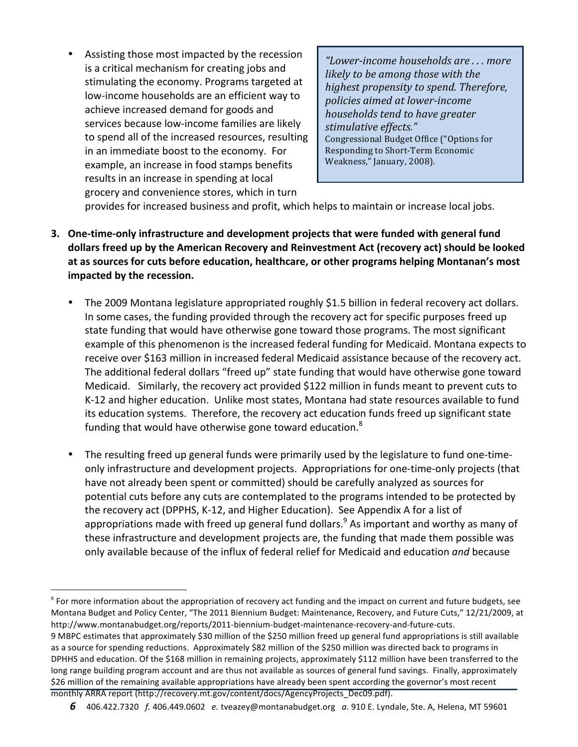Assisting those most impacted by the recession is a critical mechanism for creating jobs and stimulating the economy. Programs targeted at low-income households are an efficient way to achieve increased demand for goods and services because low-income families are likely to spend all of the increased resources, resulting in an immediate boost to the economy. For example, an increase in food stamps benefits results in an increase in spending at local grocery and convenience stores, which in turn

*"Lower'income,households,are,.,.,.,more, likely to be among those with the highest,propensity,to,spend.,Therefore,, policies,aimed,at,lower'income, households,tend,to,have,greater,* stimulative effects." Congressional Budget Office ("Options for Responding to Short-Term Economic Weakness," January, 2008).

provides for increased business and profit, which helps to maintain or increase local jobs.

- **3. One-time-only infrastructure and development projects that were funded with general fund** dollars freed up by the American Recovery and Reinvestment Act (recovery act) should be looked at as sources for cuts before education, healthcare, or other programs helping Montanan's most impacted by the recession.
	- The 2009 Montana legislature appropriated roughly \$1.5 billion in federal recovery act dollars. In some cases, the funding provided through the recovery act for specific purposes freed up state funding that would have otherwise gone toward those programs. The most significant example of this phenomenon is the increased federal funding for Medicaid. Montana expects to receive over \$163 million in increased federal Medicaid assistance because of the recovery act. The additional federal dollars "freed up" state funding that would have otherwise gone toward Medicaid. Similarly, the recovery act provided \$122 million in funds meant to prevent cuts to K-12 and higher education. Unlike most states, Montana had state resources available to fund its education systems. Therefore, the recovery act education funds freed up significant state funding that would have otherwise gone toward education.<sup>8</sup>
	- The resulting freed up general funds were primarily used by the legislature to fund one-timeonly infrastructure and development projects. Appropriations for one-time-only projects (that have not already been spent or committed) should be carefully analyzed as sources for potential cuts before any cuts are contemplated to the programs intended to be protected by the recovery act (DPPHS, K-12, and Higher Education). See Appendix A for a list of appropriations made with freed up general fund dollars.<sup>9</sup> As important and worthy as many of these infrastructure and development projects are, the funding that made them possible was only available because of the influx of federal relief for Medicaid and education *and* because

 $8$  For more information about the appropriation of recovery act funding and the impact on current and future budgets, see Montana Budget and Policy Center, "The 2011 Biennium Budget: Maintenance, Recovery, and Future Cuts," 12/21/2009, at http://www.montanabudget.org/reports/2011-biennium-budget-maintenance-recovery-and-future-cuts.

<sup>9</sup> MBPC estimates that approximately \$30 million of the \$250 million freed up general fund appropriations is still available as a source for spending reductions. Approximately \$82 million of the \$250 million was directed back to programs in DPHHS and education. Of the \$168 million in remaining projects, approximately \$112 million have been transferred to the long range building program account and are thus not available as sources of general fund savings. Finally, approximately \$26 million of the remaining available appropriations have already been spent according the governor's most recent monthly ARRA report (http://recovery.mt.gov/content/docs/AgencyProjects\_Dec09.pdf).

**<sup>6</sup>** 406.422.7320 f. 406.449.0602 e. tveazey@montanabudget.org a. 910 E. Lyndale, Ste. A, Helena, MT 59601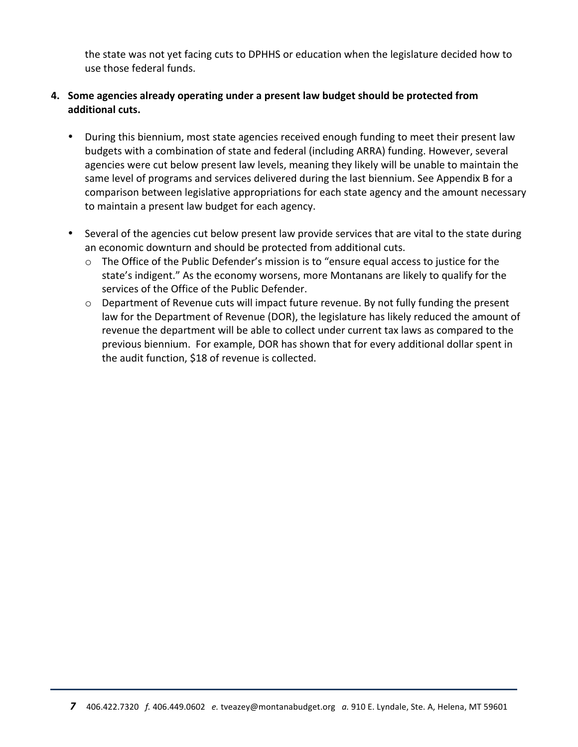the state was not yet facing cuts to DPHHS or education when the legislature decided how to use those federal funds.

### **4.** Some agencies already operating under a present law budget should be protected from additional cuts.

- During this biennium, most state agencies received enough funding to meet their present law budgets with a combination of state and federal (including ARRA) funding. However, several agencies were cut below present law levels, meaning they likely will be unable to maintain the same level of programs and services delivered during the last biennium. See Appendix B for a comparison between legislative appropriations for each state agency and the amount necessary to maintain a present law budget for each agency.
- Several of the agencies cut below present law provide services that are vital to the state during an economic downturn and should be protected from additional cuts.
	- $\circ$  The Office of the Public Defender's mission is to "ensure equal access to justice for the state's indigent." As the economy worsens, more Montanans are likely to qualify for the services of the Office of the Public Defender.
	- $\circ$  Department of Revenue cuts will impact future revenue. By not fully funding the present law for the Department of Revenue (DOR), the legislature has likely reduced the amount of revenue the department will be able to collect under current tax laws as compared to the previous biennium. For example, DOR has shown that for every additional dollar spent in the audit function, \$18 of revenue is collected.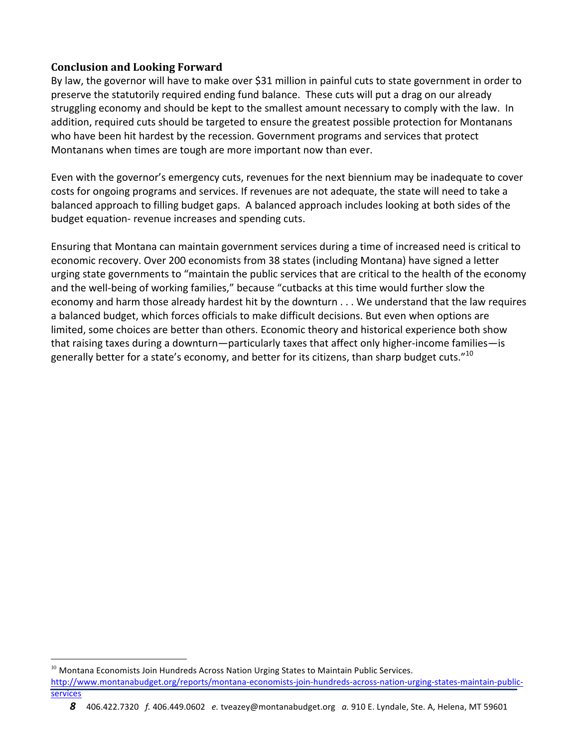#### **Conclusion and Looking Forward**

By law, the governor will have to make over \$31 million in painful cuts to state government in order to preserve the statutorily required ending fund balance. These cuts will put a drag on our already struggling economy and should be kept to the smallest amount necessary to comply with the law. In addition, required cuts should be targeted to ensure the greatest possible protection for Montanans who have been hit hardest by the recession. Government programs and services that protect Montanans when times are tough are more important now than ever.

Even with the governor's emergency cuts, revenues for the next biennium may be inadequate to cover costs for ongoing programs and services. If revenues are not adequate, the state will need to take a balanced approach to filling budget gaps. A balanced approach includes looking at both sides of the budget equation- revenue increases and spending cuts.

Ensuring that Montana can maintain government services during a time of increased need is critical to economic recovery. Over 200 economists from 38 states (including Montana) have signed a letter urging state governments to "maintain the public services that are critical to the health of the economy and the well-being of working families," because "cutbacks at this time would further slow the economy and harm those already hardest hit by the downturn . . . We understand that the law requires a balanced budget, which forces officials to make difficult decisions. But even when options are limited, some choices are better than others. Economic theory and historical experience both show that raising taxes during a downturn—particularly taxes that affect only higher-income families—is generally better for a state's economy, and better for its citizens, than sharp budget cuts." $^{10}$ 

8 406.422.7320 f. 406.449.0602 e. tveazey@montanabudget.org a. 910 E. Lyndale, Ste. A, Helena, MT 59601

 $^{10}$  Montana Economists Join Hundreds Across Nation Urging States to Maintain Public Services.

http://www.montanabudget.org/reports/montana-economists-join-hundreds-across-nation-urging-states-maintain-publicservices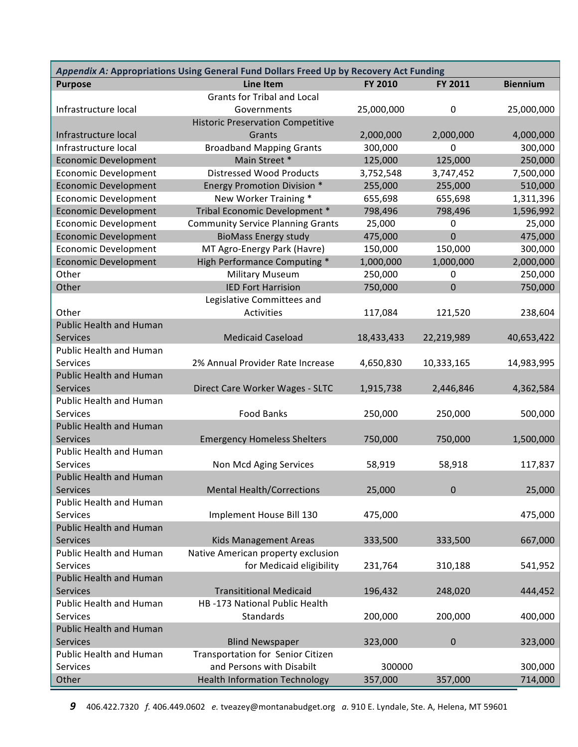| Appendix A: Appropriations Using General Fund Dollars Freed Up by Recovery Act Funding |                                          |                |                |                 |  |  |  |
|----------------------------------------------------------------------------------------|------------------------------------------|----------------|----------------|-----------------|--|--|--|
| <b>Purpose</b>                                                                         | <b>Line Item</b>                         | <b>FY 2010</b> | FY 2011        | <b>Biennium</b> |  |  |  |
|                                                                                        | <b>Grants for Tribal and Local</b>       |                |                |                 |  |  |  |
| Infrastructure local                                                                   | Governments                              | 25,000,000     | 0              | 25,000,000      |  |  |  |
|                                                                                        | <b>Historic Preservation Competitive</b> |                |                |                 |  |  |  |
| Infrastructure local                                                                   | Grants                                   | 2,000,000      | 2,000,000      | 4,000,000       |  |  |  |
| Infrastructure local                                                                   | <b>Broadband Mapping Grants</b>          | 300,000        | $\mathbf 0$    | 300,000         |  |  |  |
| <b>Economic Development</b>                                                            | Main Street *                            | 125,000        | 125,000        | 250,000         |  |  |  |
| <b>Economic Development</b>                                                            | <b>Distressed Wood Products</b>          | 3,752,548      | 3,747,452      | 7,500,000       |  |  |  |
| <b>Economic Development</b>                                                            | <b>Energy Promotion Division *</b>       | 255,000        | 255,000        | 510,000         |  |  |  |
| <b>Economic Development</b>                                                            | New Worker Training *                    | 655,698        | 655,698        | 1,311,396       |  |  |  |
| <b>Economic Development</b>                                                            | Tribal Economic Development *            | 798,496        | 798,496        | 1,596,992       |  |  |  |
| <b>Economic Development</b>                                                            | <b>Community Service Planning Grants</b> | 25,000         | $\mathbf 0$    | 25,000          |  |  |  |
| <b>Economic Development</b>                                                            | <b>BioMass Energy study</b>              | 475,000        | $\overline{0}$ | 475,000         |  |  |  |
| <b>Economic Development</b>                                                            | MT Agro-Energy Park (Havre)              | 150,000        | 150,000        | 300,000         |  |  |  |
| <b>Economic Development</b>                                                            | <b>High Performance Computing *</b>      | 1,000,000      | 1,000,000      | 2,000,000       |  |  |  |
| Other                                                                                  | <b>Military Museum</b>                   | 250,000        | 0              | 250,000         |  |  |  |
| Other                                                                                  | <b>IED Fort Harrision</b>                | 750,000        | $\overline{0}$ | 750,000         |  |  |  |
|                                                                                        | Legislative Committees and               |                |                |                 |  |  |  |
| Other                                                                                  | Activities                               | 117,084        | 121,520        | 238,604         |  |  |  |
| <b>Public Health and Human</b>                                                         |                                          |                |                |                 |  |  |  |
| Services                                                                               | <b>Medicaid Caseload</b>                 | 18,433,433     | 22,219,989     | 40,653,422      |  |  |  |
| Public Health and Human                                                                |                                          |                |                |                 |  |  |  |
| Services                                                                               | 2% Annual Provider Rate Increase         | 4,650,830      | 10,333,165     | 14,983,995      |  |  |  |
| <b>Public Health and Human</b>                                                         |                                          |                |                |                 |  |  |  |
| Services                                                                               | Direct Care Worker Wages - SLTC          | 1,915,738      | 2,446,846      | 4,362,584       |  |  |  |
| Public Health and Human                                                                |                                          |                |                |                 |  |  |  |
| Services                                                                               | <b>Food Banks</b>                        | 250,000        | 250,000        | 500,000         |  |  |  |
| <b>Public Health and Human</b>                                                         |                                          |                |                |                 |  |  |  |
| Services                                                                               | <b>Emergency Homeless Shelters</b>       | 750,000        | 750,000        | 1,500,000       |  |  |  |
| Public Health and Human                                                                |                                          |                |                |                 |  |  |  |
| Services                                                                               | Non Mcd Aging Services                   | 58,919         | 58,918         | 117,837         |  |  |  |
| <b>Public Health and Human</b>                                                         |                                          |                |                |                 |  |  |  |
| Services                                                                               | <b>Mental Health/Corrections</b>         | 25,000         | 0              | 25,000          |  |  |  |
| Public Health and Human                                                                |                                          |                |                |                 |  |  |  |
| Services                                                                               | Implement House Bill 130                 | 475,000        |                | 475,000         |  |  |  |
| <b>Public Health and Human</b>                                                         |                                          |                |                |                 |  |  |  |
| Services                                                                               | <b>Kids Management Areas</b>             | 333,500        | 333,500        | 667,000         |  |  |  |
| Public Health and Human                                                                | Native American property exclusion       |                |                |                 |  |  |  |
| Services                                                                               | for Medicaid eligibility                 | 231,764        | 310,188        | 541,952         |  |  |  |
| <b>Public Health and Human</b>                                                         |                                          |                |                |                 |  |  |  |
| <b>Services</b>                                                                        | <b>Transititional Medicaid</b>           | 196,432        | 248,020        | 444,452         |  |  |  |
| Public Health and Human                                                                | HB-173 National Public Health            |                |                |                 |  |  |  |
| Services                                                                               | Standards                                | 200,000        | 200,000        | 400,000         |  |  |  |
| <b>Public Health and Human</b>                                                         |                                          |                |                |                 |  |  |  |
| Services                                                                               | <b>Blind Newspaper</b>                   | 323,000        | $\pmb{0}$      | 323,000         |  |  |  |
| Public Health and Human                                                                | Transportation for Senior Citizen        |                |                |                 |  |  |  |
| Services                                                                               | and Persons with Disabilt                | 300000         |                | 300,000         |  |  |  |
| Other                                                                                  | <b>Health Information Technology</b>     | 357,000        | 357,000        | 714,000         |  |  |  |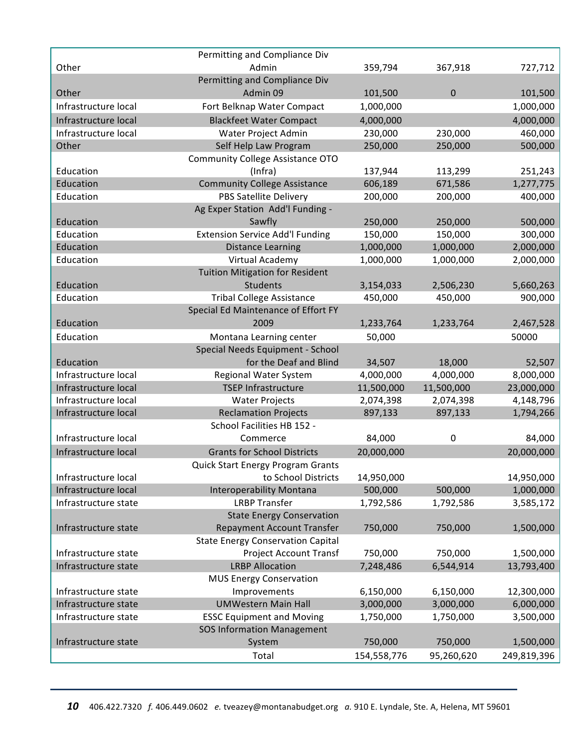|                      | Permitting and Compliance Div            |             |            |             |
|----------------------|------------------------------------------|-------------|------------|-------------|
| Other                | Admin                                    | 359,794     | 367,918    | 727,712     |
|                      | Permitting and Compliance Div            |             |            |             |
| Other                | Admin 09                                 | 101,500     | $\pmb{0}$  | 101,500     |
| Infrastructure local | Fort Belknap Water Compact               | 1,000,000   |            | 1,000,000   |
| Infrastructure local | <b>Blackfeet Water Compact</b>           | 4,000,000   |            | 4,000,000   |
| Infrastructure local | Water Project Admin                      | 230,000     | 230,000    | 460,000     |
| Other                | Self Help Law Program                    | 250,000     | 250,000    | 500,000     |
|                      | <b>Community College Assistance OTO</b>  |             |            |             |
| Education            | (Infra)                                  | 137,944     | 113,299    | 251,243     |
| Education            | <b>Community College Assistance</b>      | 606,189     | 671,586    | 1,277,775   |
| Education            | PBS Satellite Delivery                   | 200,000     | 200,000    | 400,000     |
|                      | Ag Exper Station Add'l Funding -         |             |            |             |
| Education            | Sawfly                                   | 250,000     | 250,000    | 500,000     |
| Education            | <b>Extension Service Add'l Funding</b>   | 150,000     | 150,000    | 300,000     |
| Education            | <b>Distance Learning</b>                 | 1,000,000   | 1,000,000  | 2,000,000   |
| Education            | Virtual Academy                          | 1,000,000   | 1,000,000  | 2,000,000   |
|                      | <b>Tuition Mitigation for Resident</b>   |             |            |             |
| Education            | Students                                 | 3,154,033   | 2,506,230  | 5,660,263   |
| Education            | <b>Tribal College Assistance</b>         | 450,000     | 450,000    | 900,000     |
|                      | Special Ed Maintenance of Effort FY      |             |            |             |
| Education            | 2009                                     | 1,233,764   | 1,233,764  | 2,467,528   |
| Education            | Montana Learning center                  | 50,000      |            | 50000       |
|                      | Special Needs Equipment - School         |             |            |             |
| Education            | for the Deaf and Blind                   | 34,507      | 18,000     | 52,507      |
| Infrastructure local | Regional Water System                    | 4,000,000   | 4,000,000  | 8,000,000   |
| Infrastructure local | <b>TSEP Infrastructure</b>               | 11,500,000  | 11,500,000 | 23,000,000  |
| Infrastructure local | <b>Water Projects</b>                    | 2,074,398   | 2,074,398  | 4,148,796   |
| Infrastructure local | <b>Reclamation Projects</b>              | 897,133     | 897,133    | 1,794,266   |
|                      | School Facilities HB 152 -               |             |            |             |
| Infrastructure local | Commerce                                 | 84,000      | $\pmb{0}$  | 84,000      |
| Infrastructure local | <b>Grants for School Districts</b>       | 20,000,000  |            | 20,000,000  |
|                      | Quick Start Energy Program Grants        |             |            |             |
| Infrastructure local | to School Districts                      | 14,950,000  |            | 14,950,000  |
| Infrastructure local | <b>Interoperability Montana</b>          | 500,000     | 500,000    | 1,000,000   |
| Infrastructure state | <b>LRBP Transfer</b>                     | 1,792,586   | 1,792,586  | 3,585,172   |
|                      | <b>State Energy Conservation</b>         |             |            |             |
| Infrastructure state | <b>Repayment Account Transfer</b>        | 750,000     | 750,000    | 1,500,000   |
|                      | <b>State Energy Conservation Capital</b> |             |            |             |
| Infrastructure state | <b>Project Account Transf</b>            | 750,000     | 750,000    | 1,500,000   |
| Infrastructure state | <b>LRBP Allocation</b>                   | 7,248,486   | 6,544,914  | 13,793,400  |
|                      | <b>MUS Energy Conservation</b>           |             |            |             |
| Infrastructure state | Improvements                             | 6,150,000   | 6,150,000  | 12,300,000  |
| Infrastructure state | <b>UMWestern Main Hall</b>               | 3,000,000   | 3,000,000  | 6,000,000   |
| Infrastructure state | <b>ESSC Equipment and Moving</b>         | 1,750,000   | 1,750,000  | 3,500,000   |
|                      | <b>SOS Information Management</b>        |             |            |             |
| Infrastructure state | System                                   | 750,000     | 750,000    | 1,500,000   |
|                      | Total                                    | 154,558,776 | 95,260,620 | 249,819,396 |